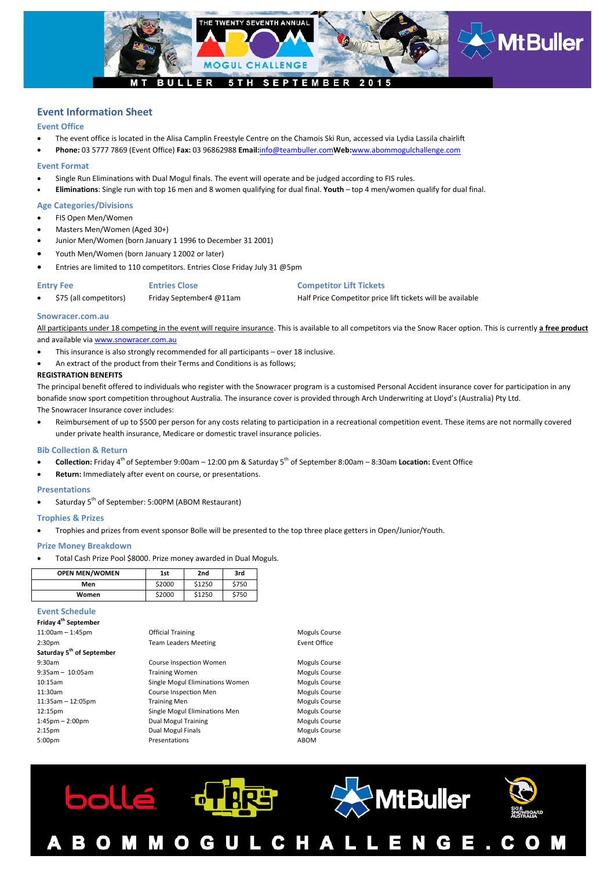

# **Event Information Sheet**

### **Event Office**

- The event office is located in the Alisa Camplin Freestyle Centre on the Chamois Ski Run, accessed via Lydia Lassila chairlift
- **Phone:** 03 5777 7869 (Event Office) **Fax:** 03 96862988 **Email:**[info@teambuller.com](mailto:info@teambuller.com)**Web:**[www.abommogulchallenge.com](http://www.abommogulchallenge.com/)

#### **Event Format**

- Single Run Eliminations with Dual Mogul finals. The event will operate and be judged according to FIS rules.
- **Eliminations**: Single run with top 16 men and 8 women qualifying for dual final. **Youth** top 4 men/women qualify for dual final.

### **Age Categories/Divisions**

- FIS Open Men/Women
- Masters Men/Women (Aged 30+)
- Junior Men/Women (born January 1 1996 to December 31 2001)
- Youth Men/Women (born January 1 2002 or later)
- Entries are limited to 110 competitors. Entries Close Friday July 31 @5pm

**Entry Fee Entries Close Competitor Lift Tickets**

• \$75 (all competitors) Friday September4 @11am Half Price Competitor price lift tickets will be available

#### **Snowracer.com.au**

All participants under 18 competing in the event will require insurance. This is available to all competitors via the Snow Racer option. This is currently **a free product** and available vi[a www.snowracer.com.au](http://www.snowracer.com.au/)

- This insurance is also strongly recommended for all participants over 18 inclusive.
- An extract of the product from their Terms and Conditions is as follows;

#### **REGISTRATION BENEFITS**

The principal benefit offered to individuals who register with the Snowracer program is a customised Personal Accident insurance cover for participation in any bonafide snow sport competition throughout Australia. The insurance cover is provided through Arch Underwriting at Lloyd's (Australia) Pty Ltd.

The Snowracer Insurance cover includes:

• Reimbursement of up to \$500 per person for any costs relating to participation in a recreational competition event. These items are not normally covered under private health insurance, Medicare or domestic travel insurance policies.

#### **Bib Collection & Return**

- **Collection:** Friday 4th of September 9:00am 12:00 pm & Saturday 5th of September 8:00am 8:30am **Location:** Event Office
- **Return:** Immediately after event on course, or presentations.

#### **Presentations**

Saturday 5<sup>th</sup> of September: 5:00PM (ABOM Restaurant)

#### **Trophies & Prizes**

• Trophies and prizes from event sponsor Bolle will be presented to the top three place getters in Open/Junior/Youth.

#### **Prize Money Breakdown**

• Total Cash Prize Pool \$8000. Prize money awarded in Dual Moguls.

| <b>OPEN MEN/WOMEN</b> | 1st    | 2 <sub>nd</sub> | 3rd   |
|-----------------------|--------|-----------------|-------|
| Men                   | \$2000 | \$1250          | \$750 |
| Women                 | \$2000 | \$1250          | \$750 |

#### **Event Schedule**

#### **Friday 4th September** 11:00am – 1:45pm Official Training Moguls Course 2:30pm Team Leaders Meeting Team Leaders Meeting **Saturday 5th of September** 9:30am Course Inspection Women Moguls Course 9:35am – 10:05am **Training Women** Communist Course 10:15am Single Mogul Eliminations Women Moguls Course 11:30am **Course Inspection Men** Course Inspection Men Moguls Course 11:35am – 12:05pm Training Men and Training Men and Moguls Course 12:15pm Single Mogul Eliminations Men Moguls Course 1:45pm – 2:00pm **Dual Mogul Training** Moguls Course 2:15pm Dual Mogul Finals Moguls Course 5:00pm Presentations Presentations ABOM